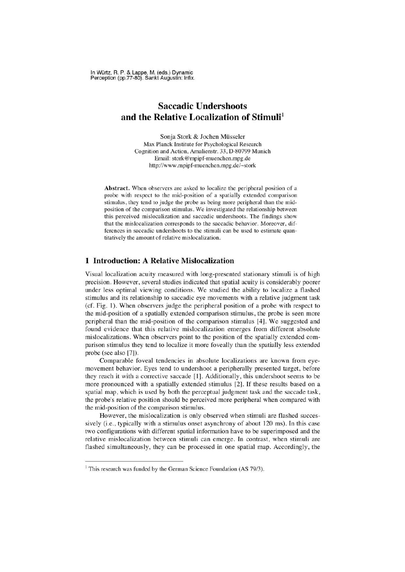In Würtz, R. P. & Lappe, M. (eds.) Dynamic Perception (pp.77-80). Sankt Augustin: Infix.

## Saccadic Undershoots and the Relative Localization of Stimuli'

Sonja Stork & Jochen Müsseler Max Planck Institute for Psychological Research Cognition and Action, Amalienstr. 33, D-80799 Munich Email: stork@mpipf-muenchen.mpg.de http://www.mpipf-muenchen.mpg.de/~stork

Abstract. When observers are asked to localize the peripheral position of a probe with respect to the mid-position of a spatially extended comparison stimulus, they tend to judge the probe as being more peripheral than the midposition of the comparison stimulus. We investigated the relationship between this perceived mislocalization and saccadic undershoots. The findings show that the mislocalization corresponds to the saccadic behavior. Moreover, differences in saccadic undershoots to the stimuli can be used to estimate quantitatively the amount of relative mislocalization.

## **1 Introduction: A Relative Mislocalization**

Visual localization acuity measured with long-presented stationary stimuli is of high precision. However, several studies indicated that spatial acuity is considerably poorer under less optimal viewing conditions. We studied the ability to localize a flashed stimulus and its relationship to saccadic eye movements with a relative judgment task (cf. Fig. 1). When observers judge the peripheral position of a probe with respect to the mid-position of a spatially extended comparison stimulus, the probe is seen more pe ripheral than the mid-position of the comparison stimulus [4). We suggested and found evidence that this relative mislocalization emerges from different absolute mislocalizations. When observers point to the position of the spatially extended comparison stimulus they tend to localize it more foveally than the spatially less extended probe (see also [7]).

Comparable foveal tendencies in absolute localizations are known from eyemovement behavior. Eyes tend to undershoot a peripherally presented target, before they reach it with a corrcctive saccade [11. Additionally. this undershoot seems to be more pronounced with a spatially extended stimulus [2]. If these results based on a spatial map, which is used by both the perceptual judgment task and the saccade task, the probe's relative position should be perceived more peripheral when compared with the mid-position of the comparison stimulus.

However, the mislocalization is only observed when stimuli are flashed successively (i.e., typically with a stimulus onset asynchrony of about 120 ms). In this case two configurations with different spatial information have to be superimposed and the relative mislocalization between stimuli can emerge. In contrast, when stimuli are flashed simultaneously, they can be processed in one spatial map. Accordingly, the

 $1$  This research was funded by the German Science Foundation (AS 79/3).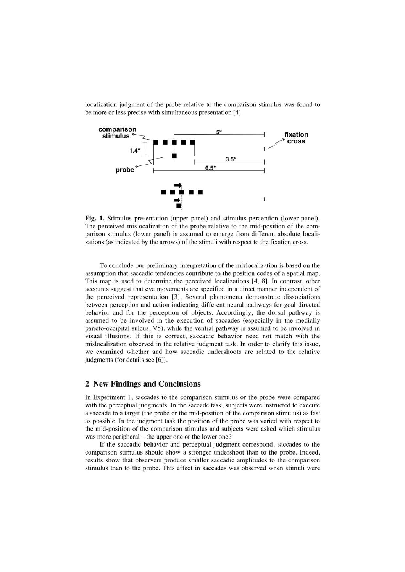localization judgment of the probe relative to the comparison stimulus was found to be more or less precise with simultaneous presentation [4].



Fig. 1. Stimulus presentation (upper panel) and stimulus perception (lower panel). The perceived mislocalization of the probe relative to the mid-position of the comparison stimulus (lower panel) is assumed to emerge from different absolute localizations (as indicated by the arrows) of the stimuli with respect to the fixation cross.

To conclude our preliminary interpretation of the mislocalization is based on the assumption that saccadic tendencies contribute to the position codes of a spatial map. This map is used to determine the perceived localizations [4, 8]. In contrast, other accounts suggest that eye movements are specified in a direct manner independent of the perceived representation [3]. Several phenomena demonstrate dissociations between perception and action indicating different neural pathways for goal-directed behavior and for the perception of objects. Accordingly, the dorsal pathway is assumed to be involved in the execution of saccades (especially in the medially parieto-occipital sulcus, V5), while the ventral pathway is assumed to be involved in visual illusions. If this is correct, saccadic behavior need not match with the mislocalization observed in the relative judgment task. In order to clarify this issue, we examined whether and how saccadic undershoots are related to the relative judgments (for details see [6]).

## 2 New Findings and Conclusions

In Experiment 1, saccades to the comparison stimulus or the probe were compared with the perceptual judgments. In the saccade task, subjects were instructed to execute a saccade to a target (the probe or the mid-position of the comparison stimulus) as fast as possible. In the judgment task the position of the probe was varied with respect to the mid-position of the comparison stimulus and subjects were asked which stimulus was more peripheral – the upper one or the lower one?

If the saccadic behavior and perceptual judgment correspond, saccades to the comparison stimulus should show a stronger undershoot than to the probe. Indeed, results show that observers produce smaller saccadic amplitudes to the comparison stimulus than to the probe. This effect in saccades was observed when stimuli were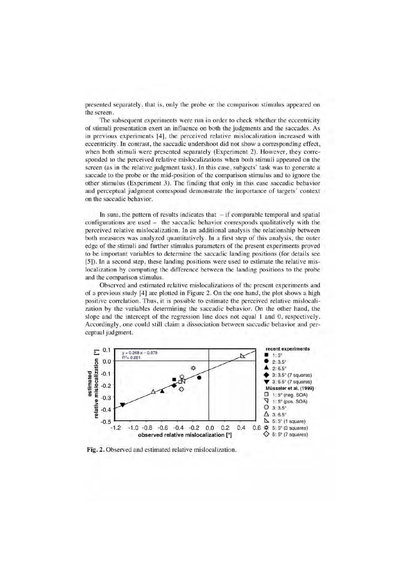presented separately, that is, only the probe or the comparison stimulus appeared on the screen.

The subsequent experiments were run in order to check whether the eccentricity of stimuli presentation exert an influence on both the judgments and the saccades. As in previous experiments [4], the perceived relative mislocalization increased with eccentricity. In contrast, the saccadic undershoot did not show a corresponding effect, when both stimuli were presented separately (Experiment 2). However, they corresponded to the perceived relative mislocalizations when both stimuli appeared on the screen (as in the relative judgment task). In this case, subjects' task was to generate a saccade to the probe or the mid-position of the comparison stimulus and to ignore the other stimulus (Experiment 3). The finding that only in this case saccadic behavior and perceptual judgment correspond demonstrate the importance of targets' context on the saccadic behavior.

In sum, the pattern of results indicates that  $-$  if comparable temporal and spatial configurations are used - the saccadic behavior corresponds qualitatively with the perceived relative mislocalization. In an additional analysis the relationship between both measures was analyzed quantitatively. In a first step of this analysis, the outer edge of the stimuli and further stimulus parameters of the present experiments proved to be important variables to determine the saccadic landing positions (for details see [5]). In a second step, these landing positions were used to estimate the relative mislocalization by computing the difference between the landing positions to the probe and the comparison stimulus.

Observed and estimated relative mislocalizations of the present experiments and of a previous study [4] are plotted in Figure 2. On the one hand, the plot shows a high positive correlation. Thus, it is possible to estimate the perceived relative mislocalization by the variables determining the saccadic behavior. On the other hand, the slope and the intercept of the regression line does not equal 1 and 0, respectively. Accordingly, one could still claim a dissociation between saccadic behavior and perceptual judgment.



Fig. 2. Observed and estimated relative mislocalization.